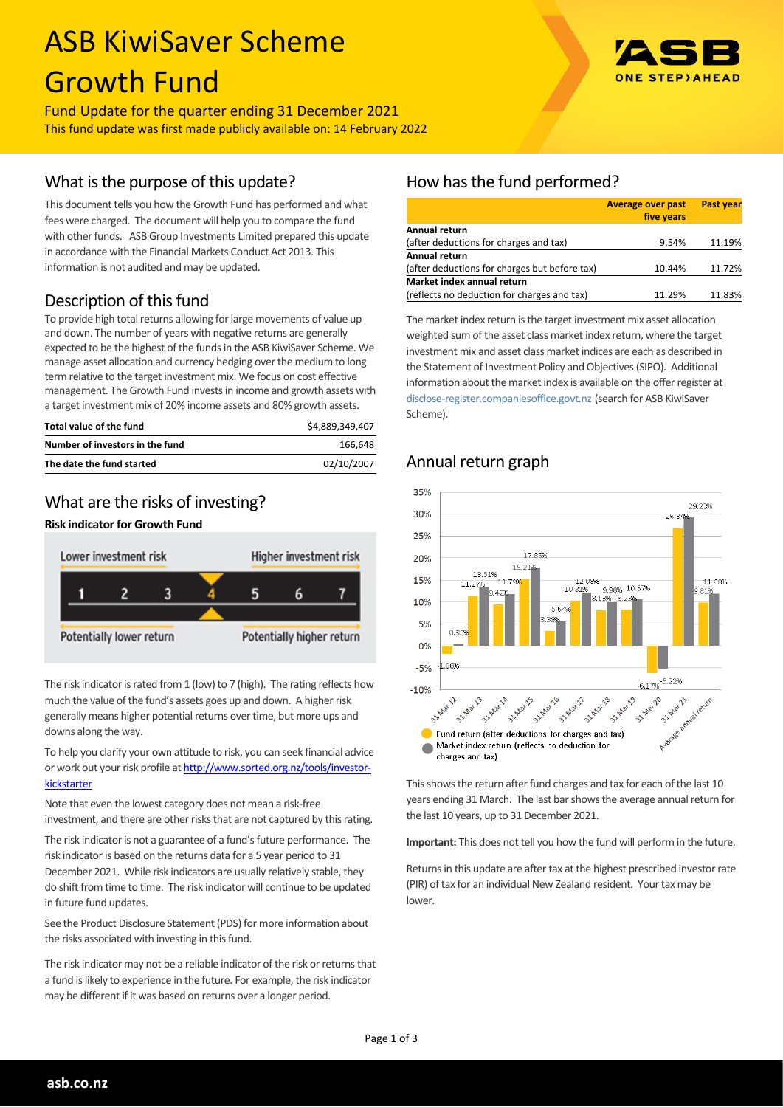# ASB KiwiSaver Scheme Growth Fund

Fund Update for the quarter ending 31 December 2021 This fund update was first made publicly available on: 14 February 2022

## What is the purpose of this update?

This document tells you how the Growth Fund has performed and what fees were charged. The document will help you to compare the fund with other funds. ASB Group Investments Limited prepared this update in accordance with the Financial Markets Conduct Act 2013. This information is not audited and may be updated.

## Description of this fund

To provide high total returns allowing for large movements of value up and down. The number of years with negative returns are generally expected to be the highest of the funds in the ASB KiwiSaver Scheme. We manage asset allocation and currency hedging over the medium to long term relative to the target investment mix. We focus on cost effective management. The Growth Fund invests in income and growth assets with a target investment mix of 20% income assets and 80% growth assets.

| Total value of the fund         | \$4,889,349,407 |
|---------------------------------|-----------------|
| Number of investors in the fund | 166.648         |
| The date the fund started       | 02/10/2007      |

#### What are the risks of investing?





The risk indicator is rated from 1 (low) to 7 (high). The rating reflects how much the value of the fund's assets goes up and down. A higher risk generally means higher potential returns over time, but more ups and downs along the way.

To help you clarify your own attitude to risk, you can seek financial advice or work out your risk profile at [http://www.sorted.org.nz/tools/investor](http://www.sorted.org.nz/tools/investor-kickstarter)**[kickstarter](http://www.sorted.org.nz/tools/investor-kickstarter)** 

Note that even the lowest category does not mean a risk-free investment, and there are other risks that are not captured by this rating.

The risk indicator is not a guarantee of a fund's future performance. The risk indicator is based on the returns data for a 5 year period to 31 December 2021. While risk indicators are usually relatively stable, they do shift from time to time. The risk indicator will continue to be updated in future fund updates.

See the Product Disclosure Statement (PDS) for more information about the risks associated with investing in this fund.

The risk indicator may not be a reliable indicator of the risk or returns that a fund is likely to experience in the future. For example, the risk indicator may be different if it was based on returns over a longer period.

## How has the fund performed?

|                                               | <b>Average over past</b><br>five years | <b>Past year</b> |
|-----------------------------------------------|----------------------------------------|------------------|
| Annual return                                 |                                        |                  |
| (after deductions for charges and tax)        | 9.54%                                  | 11.19%           |
| Annual return                                 |                                        |                  |
| (after deductions for charges but before tax) | 10.44%                                 | 11.72%           |
| Market index annual return                    |                                        |                  |
| (reflects no deduction for charges and tax)   | 11.29%                                 | 11.83%           |

The market index return is the target investment mix asset allocation weighted sum of the asset class market index return, where the target investment mix and asset class market indices are each as described in the Statement of Investment Policy and Objectives (SIPO). Additional information about the market index is available on the offer register at [disclose-register.companiesoffice.govt.nz](http://www.business.govt.nz/disclose/) (search for ASB KiwiSaver Scheme).

## Annual return graph



This shows the return after fund charges and tax for each of the last 10 years ending 31 March. The last bar shows the average annual return for the last 10 years, up to 31 December 2021.

**Important:** This does not tell you how the fund will perform in the future.

Returns in this update are after tax at the highest prescribed investor rate (PIR) of tax for an individual New Zealand resident. Your tax may be lower.

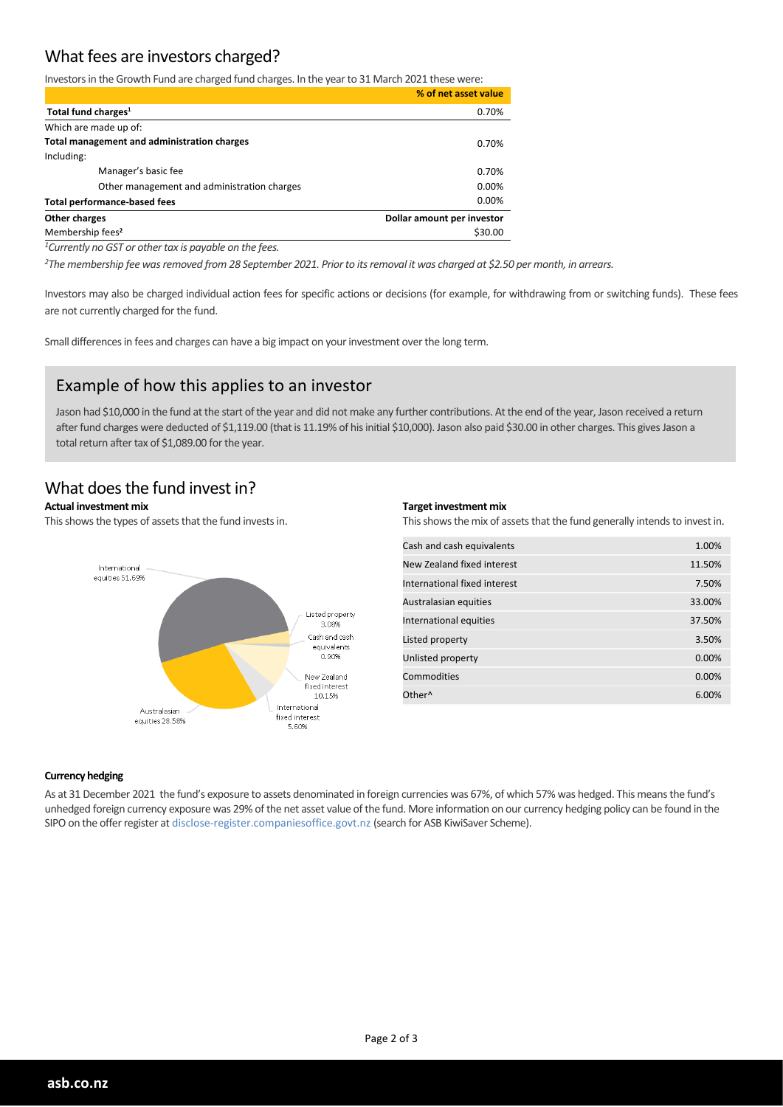## What fees are investors charged?

Investors in the Growth Fund are charged fund charges. In the year to 31 March 2021 these were:

|                                             | % of net asset value       |
|---------------------------------------------|----------------------------|
| Total fund charges <sup>1</sup>             | 0.70%                      |
| Which are made up of:                       |                            |
| Total management and administration charges | 0.70%                      |
| Including:                                  |                            |
| Manager's basic fee                         | 0.70%                      |
| Other management and administration charges | 0.00%                      |
| <b>Total performance-based fees</b>         | 0.00%                      |
| Other charges                               | Dollar amount per investor |
| Membership fees <sup>2</sup>                | \$30.00                    |

*<sup>1</sup>Currently no GST or other tax is payable on the fees.* 

*<sup>2</sup>The membership fee was removed from 28 September 2021. Prior to its removal it was charged at \$2.50 per month, in arrears.*

Investors may also be charged individual action fees for specific actions or decisions (for example, for withdrawing from or switching funds). These fees are not currently charged for the fund.

Small differences in fees and charges can have a big impact on your investment over the long term.

#### Example of how this applies to an investor

Jason had \$10,000 in the fund at the start of the year and did not make any further contributions. At the end of the year, Jason received a return after fund charges were deducted of \$1,119.00 (that is 11.19% of his initial \$10,000). Jason also paid \$30.00 in other charges. This gives Jason a total return after tax of \$1,089.00 for the year.

### What does the fund invest in?

#### **Actual investment mix**

This shows the types of assets that the fund invests in.



#### **Target investment mix**

This shows the mix of assets that the fund generally intends to invest in.

| Cash and cash equivalents    | 1.00%  |
|------------------------------|--------|
| New Zealand fixed interest   | 11.50% |
| International fixed interest | 7.50%  |
| Australasian equities        | 33.00% |
| International equities       | 37.50% |
| Listed property              | 3.50%  |
| Unlisted property            | 0.00%  |
| Commodities                  | 0.00%  |
| Other <sup>^</sup>           | 6.00%  |
|                              |        |

#### **Currency hedging**

As at 31 December 2021 the fund's exposure to assets denominated in foreign currencies was 67%, of which 57% was hedged. This means the fund's unhedged foreign currency exposure was 29% of the net asset value of the fund. More information on our currency hedging policy can be found in the SIPO on the offer register at disclose-register.companiesoffice.govt.nz (search for ASB KiwiSaver Scheme).